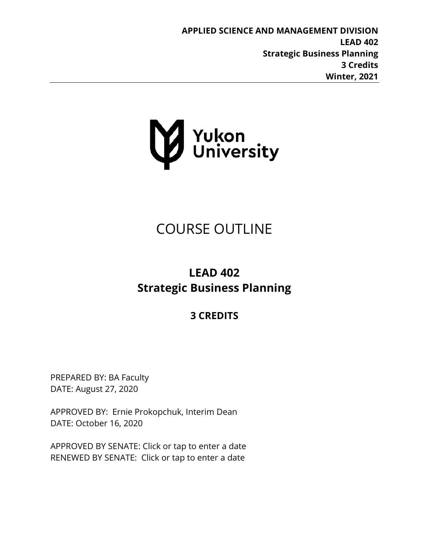**APPLIED SCIENCE AND MANAGEMENT DIVISION LEAD 402 Strategic Business Planning 3 Credits Winter, 2021**



# COURSE OUTLINE

# **LEAD 402 Strategic Business Planning**

## **3 CREDITS**

PREPARED BY: BA Faculty DATE: August 27, 2020

APPROVED BY: Ernie Prokopchuk, Interim Dean DATE: October 16, 2020

APPROVED BY SENATE: Click or tap to enter a date RENEWED BY SENATE: Click or tap to enter a date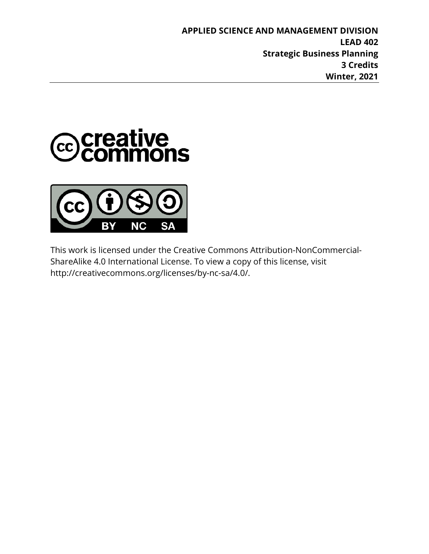**APPLIED SCIENCE AND MANAGEMENT DIVISION LEAD 402 Strategic Business Planning 3 Credits Winter, 2021**





This work is licensed under the Creative Commons Attribution-NonCommercial-ShareAlike 4.0 International License. To view a copy of this license, visit http://creativecommons.org/licenses/by-nc-sa/4.0/.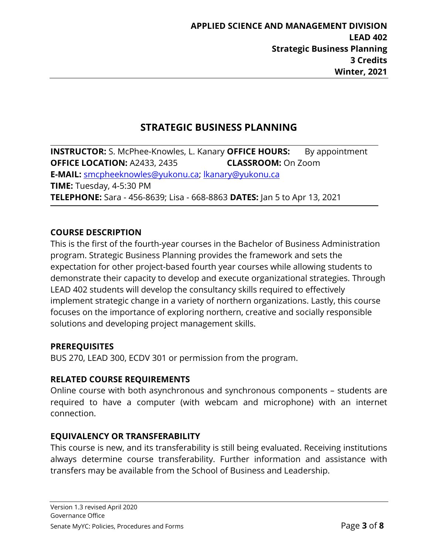### **STRATEGIC BUSINESS PLANNING**

**INSTRUCTOR:** S. McPhee-Knowles, L. Kanary **OFFICE HOURS:** By appointment **OFFICE LOCATION:** A2433, 2435 **CLASSROOM:** On Zoom **E-MAIL:** [smcpheeknowles@yukonu.ca;](mailto:smcpheeknowles@yukonu.ca) [lkanary@yukonu.ca](mailto:lkanary@yukonu.ca) **TIME:** Tuesday, 4-5:30 PM **TELEPHONE:** Sara - 456-8639; Lisa - 668-8863 **DATES:** Jan 5 to Apr 13, 2021

#### **COURSE DESCRIPTION**

This is the first of the fourth-year courses in the Bachelor of Business Administration program. Strategic Business Planning provides the framework and sets the expectation for other project-based fourth year courses while allowing students to demonstrate their capacity to develop and execute organizational strategies. Through LEAD 402 students will develop the consultancy skills required to effectively implement strategic change in a variety of northern organizations. Lastly, this course focuses on the importance of exploring northern, creative and socially responsible solutions and developing project management skills.

#### **PREREQUISITES**

BUS 270, LEAD 300, ECDV 301 or permission from the program.

#### **RELATED COURSE REQUIREMENTS**

Online course with both asynchronous and synchronous components – students are required to have a computer (with webcam and microphone) with an internet connection.

#### **EQUIVALENCY OR TRANSFERABILITY**

This course is new, and its transferability is still being evaluated. Receiving institutions always determine course transferability. Further information and assistance with transfers may be available from the School of Business and Leadership.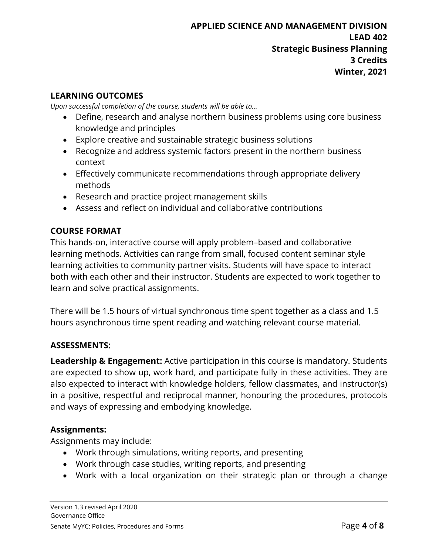#### **LEARNING OUTCOMES**

*Upon successful completion of the course, students will be able to…*

- Define, research and analyse northern business problems using core business knowledge and principles
- Explore creative and sustainable strategic business solutions
- Recognize and address systemic factors present in the northern business context
- Effectively communicate recommendations through appropriate delivery methods
- Research and practice project management skills
- Assess and reflect on individual and collaborative contributions

#### **COURSE FORMAT**

This hands-on, interactive course will apply problem–based and collaborative learning methods. Activities can range from small, focused content seminar style learning activities to community partner visits. Students will have space to interact both with each other and their instructor. Students are expected to work together to learn and solve practical assignments.

There will be 1.5 hours of virtual synchronous time spent together as a class and 1.5 hours asynchronous time spent reading and watching relevant course material.

#### **ASSESSMENTS:**

**Leadership & Engagement:** Active participation in this course is mandatory. Students are expected to show up, work hard, and participate fully in these activities. They are also expected to interact with knowledge holders, fellow classmates, and instructor(s) in a positive, respectful and reciprocal manner, honouring the procedures, protocols and ways of expressing and embodying knowledge.

#### **Assignments:**

Assignments may include:

- Work through simulations, writing reports, and presenting
- Work through case studies, writing reports, and presenting
- Work with a local organization on their strategic plan or through a change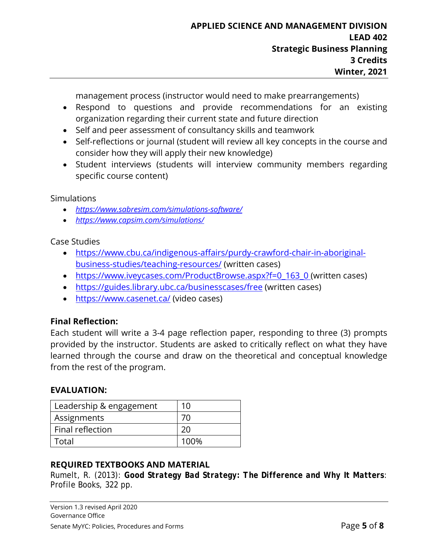management process (instructor would need to make prearrangements)

- Respond to questions and provide recommendations for an existing organization regarding their current state and future direction
- Self and peer assessment of consultancy skills and teamwork
- Self-reflections or journal (student will review all key concepts in the course and consider how they will apply their new knowledge)
- Student interviews (students will interview community members regarding specific course content)

Simulations

- *<https://www.sabresim.com/simulations-software/>*
- *<https://www.capsim.com/simulations/>*

Case Studies

- [https://www.cbu.ca/indigenous-affairs/purdy-crawford-chair-in-aboriginal](https://www.cbu.ca/indigenous-affairs/purdy-crawford-chair-in-aboriginal-business-studies/teaching-resources/)[business-studies/teaching-resources/](https://www.cbu.ca/indigenous-affairs/purdy-crawford-chair-in-aboriginal-business-studies/teaching-resources/) (written cases)
- [https://www.iveycases.com/ProductBrowse.aspx?f=0\\_163\\_0](https://www.iveycases.com/ProductBrowse.aspx?f=0_163_0) (written cases)
- <https://guides.library.ubc.ca/businesscases/free> (written cases)
- <https://www.casenet.ca/> (video cases)

#### **Final Reflection:**

Each student will write a 3-4 page reflection paper, responding to three (3) prompts provided by the instructor. Students are asked to critically reflect on what they have learned through the course and draw on the theoretical and conceptual knowledge from the rest of the program.

#### **EVALUATION:**

| Leadership & engagement | 10   |
|-------------------------|------|
| Assignments             | 70   |
| Final reflection        | 20   |
| Total                   | 100% |

#### **REQUIRED TEXTBOOKS AND MATERIAL**

Rumelt, R. (2013): *Good Strategy Bad Strategy: The Difference and Why It Matters*: Profile Books, 322 pp.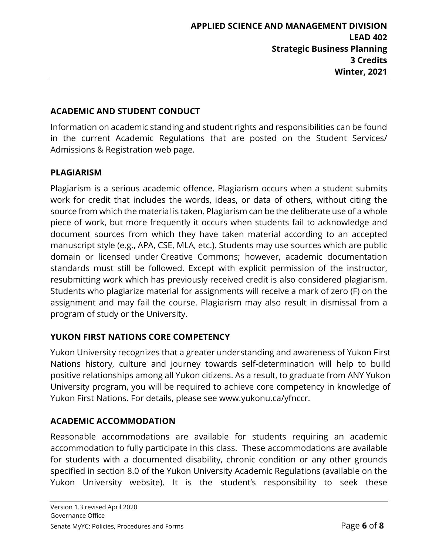#### **ACADEMIC AND STUDENT CONDUCT**

Information on academic standing and student rights and responsibilities can be found in the current Academic Regulations that are posted on the Student Services/ Admissions & Registration web page.

#### **PLAGIARISM**

Plagiarism is a serious academic offence. Plagiarism occurs when a student submits work for credit that includes the words, ideas, or data of others, without citing the source from which the material is taken. Plagiarism can be the deliberate use of a whole piece of work, but more frequently it occurs when students fail to acknowledge and document sources from which they have taken material according to an accepted manuscript style (e.g., APA, CSE, MLA, etc.). Students may use sources which are public domain or licensed under Creative Commons; however, academic documentation standards must still be followed. Except with explicit permission of the instructor, resubmitting work which has previously received credit is also considered plagiarism. Students who plagiarize material for assignments will receive a mark of zero (F) on the assignment and may fail the course. Plagiarism may also result in dismissal from a program of study or the University.

#### **YUKON FIRST NATIONS CORE COMPETENCY**

Yukon University recognizes that a greater understanding and awareness of Yukon First Nations history, culture and journey towards self-determination will help to build positive relationships among all Yukon citizens. As a result, to graduate from ANY Yukon University program, you will be required to achieve core competency in knowledge of Yukon First Nations. For details, please see www.yukonu.ca/yfnccr.

#### **ACADEMIC ACCOMMODATION**

Reasonable accommodations are available for students requiring an academic accommodation to fully participate in this class. These accommodations are available for students with a documented disability, chronic condition or any other grounds specified in section 8.0 of the Yukon University Academic Regulations (available on the Yukon University website). It is the student's responsibility to seek these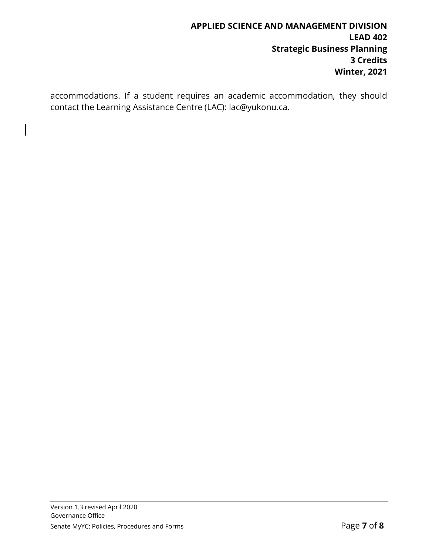accommodations. If a student requires an academic accommodation, they should contact the Learning Assistance Centre (LAC): lac@yukonu.ca.